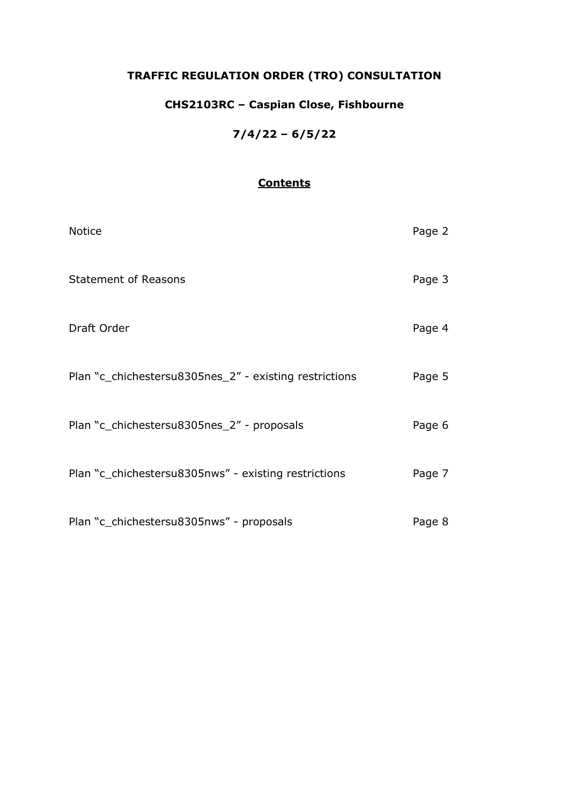### **TRAFFIC REGULATION ORDER (TRO) CONSULTATION**

### **CHS2103RC – Caspian Close, Fishbourne**

**7/4/22 – 6/5/22**

### **Contents**

| <b>Notice</b>                                          | Page 2 |
|--------------------------------------------------------|--------|
| <b>Statement of Reasons</b>                            | Page 3 |
| Draft Order                                            | Page 4 |
| Plan "c_chichestersu8305nes_2" - existing restrictions | Page 5 |
| Plan "c_chichestersu8305nes_2" - proposals             | Page 6 |
| Plan "c_chichestersu8305nws" - existing restrictions   | Page 7 |
| Plan "c_chichestersu8305nws" - proposals               | Page 8 |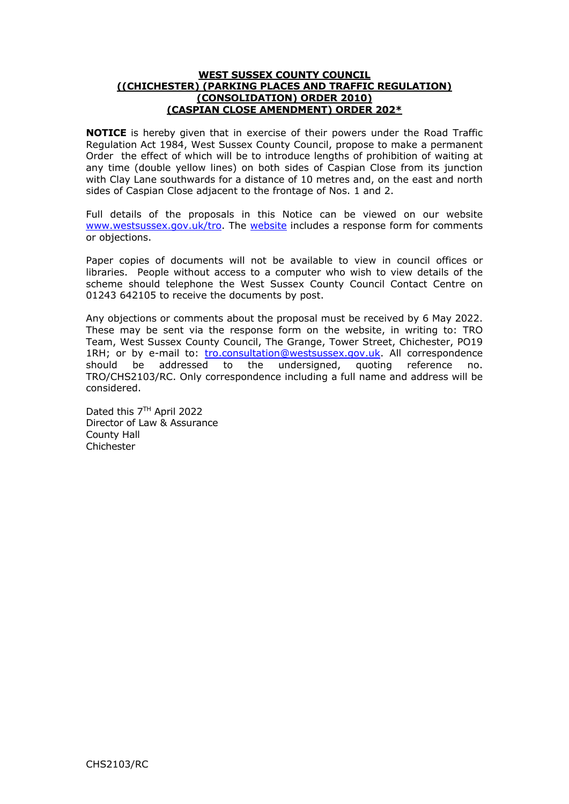#### **WEST SUSSEX COUNTY COUNCIL ((CHICHESTER) (PARKING PLACES AND TRAFFIC REGULATION) (CONSOLIDATION) ORDER 2010) (CASPIAN CLOSE AMENDMENT) ORDER 202\***

**NOTICE** is hereby given that in exercise of their powers under the Road Traffic Regulation Act 1984, West Sussex County Council, propose to make a permanent Order the effect of which will be to introduce lengths of prohibition of waiting at any time (double yellow lines) on both sides of Caspian Close from its junction with Clay Lane southwards for a distance of 10 metres and, on the east and north sides of Caspian Close adjacent to the frontage of Nos. 1 and 2.

Full details of the proposals in this Notice can be viewed on our website [www.westsussex.gov.uk/tro.](http://www.westsussex.gov.uk/tro) The [website](https://www.westsussex.gov.uk/roads-and-travel/traffic-regulation-orders/) includes a response form for comments or objections.

Paper copies of documents will not be available to view in council offices or libraries. People without access to a computer who wish to view details of the scheme should telephone the West Sussex County Council Contact Centre on 01243 642105 to receive the documents by post.

Any objections or comments about the proposal must be received by 6 May 2022. These may be sent via the response form on the website, in writing to: TRO Team, West Sussex County Council, The Grange, Tower Street, Chichester, PO19 1RH; or by e-mail to: [tro.consultation@westsussex.gov.uk.](mailto:tro.consultation@westsussex.gov.uk) All correspondence should be addressed to the undersigned, quoting reference no. TRO/CHS2103/RC. Only correspondence including a full name and address will be considered.

Dated this 7TH April 2022 Director of Law & Assurance County Hall Chichester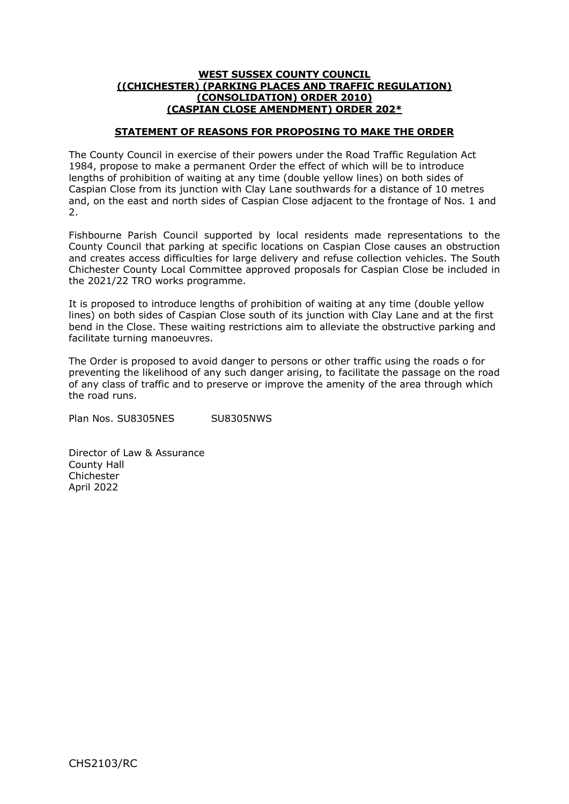#### **WEST SUSSEX COUNTY COUNCIL ((CHICHESTER) (PARKING PLACES AND TRAFFIC REGULATION) (CONSOLIDATION) ORDER 2010) (CASPIAN CLOSE AMENDMENT) ORDER 202\***

#### **STATEMENT OF REASONS FOR PROPOSING TO MAKE THE ORDER**

The County Council in exercise of their powers under the Road Traffic Regulation Act 1984, propose to make a permanent Order the effect of which will be to introduce lengths of prohibition of waiting at any time (double yellow lines) on both sides of Caspian Close from its junction with Clay Lane southwards for a distance of 10 metres and, on the east and north sides of Caspian Close adjacent to the frontage of Nos. 1 and  $\mathcal{L}$ 

Fishbourne Parish Council supported by local residents made representations to the County Council that parking at specific locations on Caspian Close causes an obstruction and creates access difficulties for large delivery and refuse collection vehicles. The South Chichester County Local Committee approved proposals for Caspian Close be included in the 2021/22 TRO works programme.

It is proposed to introduce lengths of prohibition of waiting at any time (double yellow lines) on both sides of Caspian Close south of its junction with Clay Lane and at the first bend in the Close. These waiting restrictions aim to alleviate the obstructive parking and facilitate turning manoeuvres.

The Order is proposed to avoid danger to persons or other traffic using the roads o for preventing the likelihood of any such danger arising, to facilitate the passage on the road of any class of traffic and to preserve or improve the amenity of the area through which the road runs.

Plan Nos. SU8305NES SU8305NWS

Director of Law & Assurance County Hall Chichester April 2022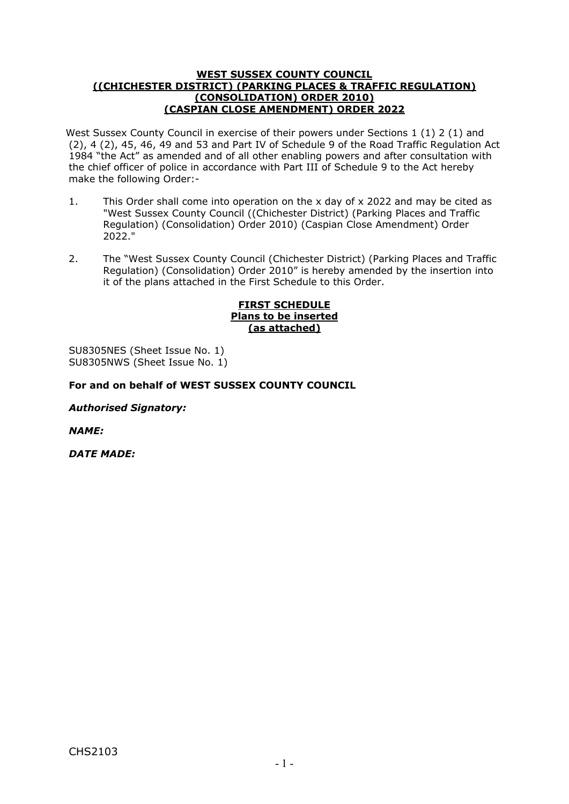#### **WEST SUSSEX COUNTY COUNCIL ((CHICHESTER DISTRICT) (PARKING PLACES & TRAFFIC REGULATION) (CONSOLIDATION) ORDER 2010) (CASPIAN CLOSE AMENDMENT) ORDER 2022**

West Sussex County Council in exercise of their powers under Sections 1 (1) 2 (1) and (2), 4 (2), 45, 46, 49 and 53 and Part IV of Schedule 9 of the Road Traffic Regulation Act 1984 "the Act" as amended and of all other enabling powers and after consultation with the chief officer of police in accordance with Part III of Schedule 9 to the Act hereby make the following Order:-

- 1. This Order shall come into operation on the x day of x 2022 and may be cited as "West Sussex County Council ((Chichester District) (Parking Places and Traffic Regulation) (Consolidation) Order 2010) (Caspian Close Amendment) Order 2022."
- 2. The "West Sussex County Council (Chichester District) (Parking Places and Traffic Regulation) (Consolidation) Order 2010" is hereby amended by the insertion into it of the plans attached in the First Schedule to this Order.

#### **FIRST SCHEDULE Plans to be inserted (as attached)**

SU8305NES (Sheet Issue No. 1) SU8305NWS (Sheet Issue No. 1)

#### **For and on behalf of WEST SUSSEX COUNTY COUNCIL**

*Authorised Signatory:*

*NAME:* 

*DATE MADE:*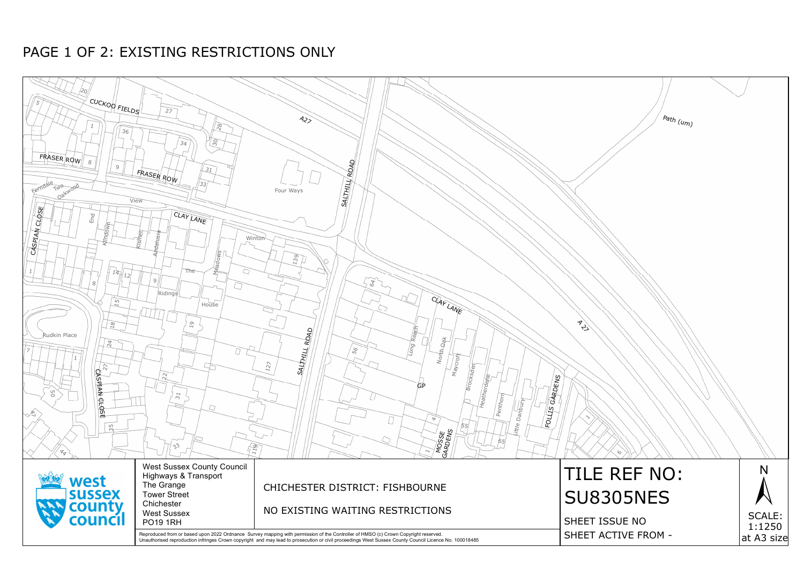

## PAGE 1 OF 2: EXISTING RESTRICTIONS ONLY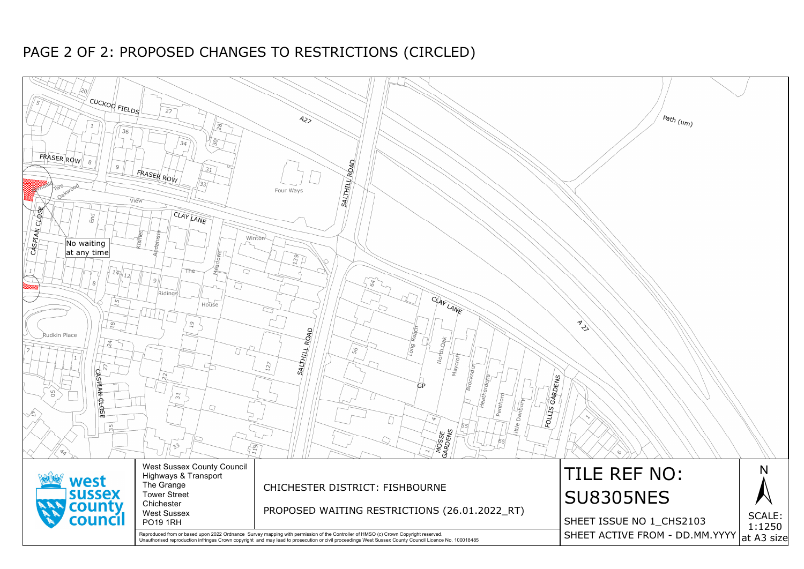

# PAGE 2 OF 2: PROPOSED CHANGES TO RESTRICTIONS (CIRCLED)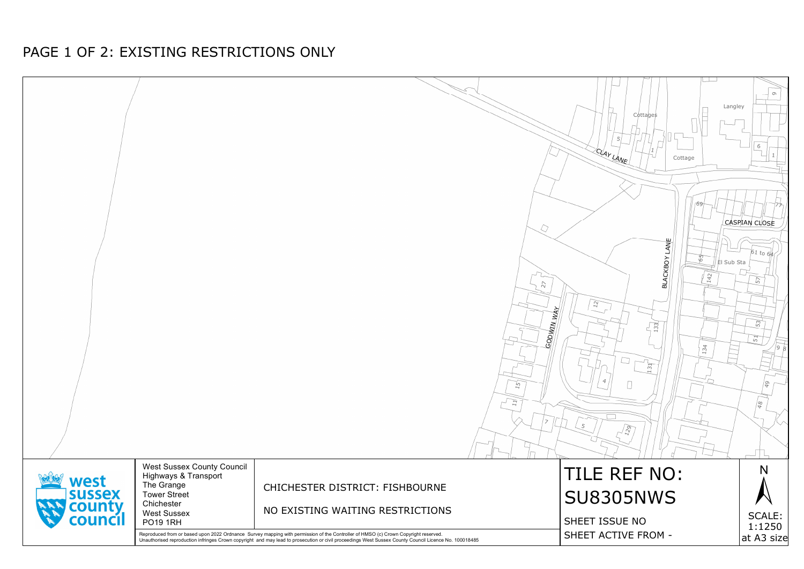

## PAGE 1 OF 2: EXISTING RESTRICTIONS ONLY